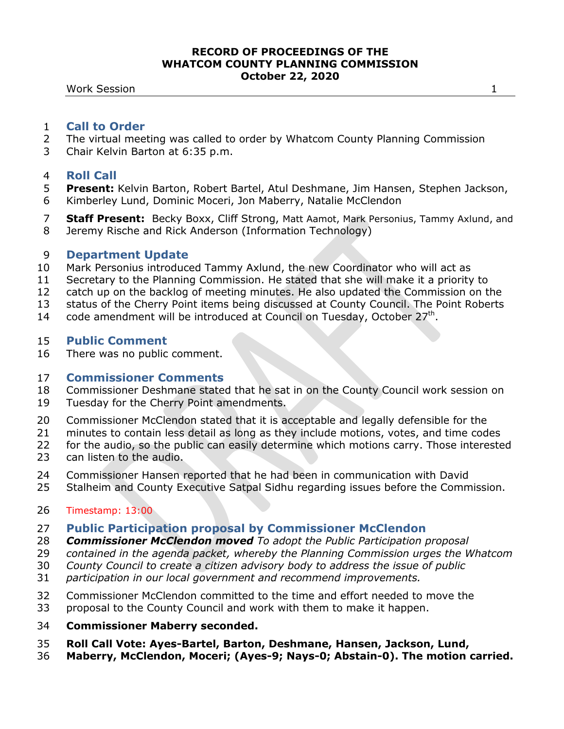#### **RECORD OF PROCEEDINGS OF THE WHATCOM COUNTY PLANNING COMMISSION October 22, 2020**

**Work Session 1** 

### **Call to Order**

- The virtual meeting was called to order by Whatcom County Planning Commission
- Chair Kelvin Barton at 6:35 p.m.

## **Roll Call**

- **Present:** Kelvin Barton, Robert Bartel, Atul Deshmane, Jim Hansen, Stephen Jackson, Kimberley Lund, Dominic Moceri, Jon Maberry, Natalie McClendon
- **Staff Present:** Becky Boxx, Cliff Strong, Matt Aamot, Mark Personius, Tammy Axlund, and Jeremy Rische and Rick Anderson (Information Technology)

## **Department Update**

- Mark Personius introduced Tammy Axlund, the new Coordinator who will act as
- Secretary to the Planning Commission. He stated that she will make it a priority to
- catch up on the backlog of meeting minutes. He also updated the Commission on the
- status of the Cherry Point items being discussed at County Council. The Point Roberts
- 14 code amendment will be introduced at Council on Tuesday, October  $27<sup>th</sup>$ .

# **Public Comment**

There was no public comment.

## **Commissioner Comments**

- Commissioner Deshmane stated that he sat in on the County Council work session on
- Tuesday for the Cherry Point amendments.
- Commissioner McClendon stated that it is acceptable and legally defensible for the
- minutes to contain less detail as long as they include motions, votes, and time codes
- for the audio, so the public can easily determine which motions carry. Those interested
- can listen to the audio.
- Commissioner Hansen reported that he had been in communication with David
- Stalheim and County Executive Satpal Sidhu regarding issues before the Commission.

# Timestamp: 13:00

- **Public Participation proposal by Commissioner McClendon**
- *Commissioner McClendon moved To adopt the Public Participation proposal*
- *contained in the agenda packet, whereby the Planning Commission urges the Whatcom*
- *County Council to create a citizen advisory body to address the issue of public*
- *participation in our local government and recommend improvements.*
- Commissioner McClendon committed to the time and effort needed to move the
- proposal to the County Council and work with them to make it happen.
- **Commissioner Maberry seconded.**
- **Roll Call Vote: Ayes-Bartel, Barton, Deshmane, Hansen, Jackson, Lund,**
- **Maberry, McClendon, Moceri; (Ayes-9; Nays-0; Abstain-0). The motion carried.**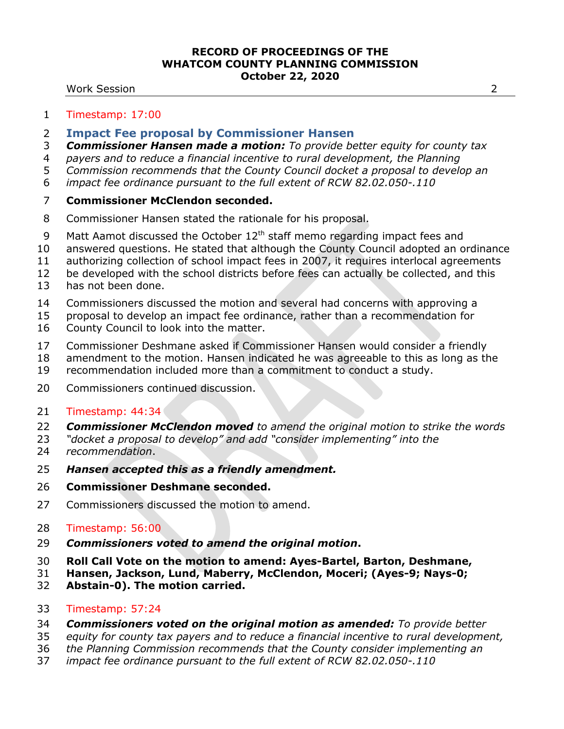#### **RECORD OF PROCEEDINGS OF THE WHATCOM COUNTY PLANNING COMMISSION October 22, 2020**

#### Work Session 2

#### Timestamp: 17:00

- **Impact Fee proposal by Commissioner Hansen**
- *Commissioner Hansen made a motion: To provide better equity for county tax*
- *payers and to reduce a financial incentive to rural development, the Planning*
- *Commission recommends that the County Council docket a proposal to develop an*
- *impact fee ordinance pursuant to the full extent of RCW 82.02.050-.110*

## **Commissioner McClendon seconded.**

- Commissioner Hansen stated the rationale for his proposal.
- 9 Matt Aamot discussed the October  $12<sup>th</sup>$  staff memo regarding impact fees and
- answered questions. He stated that although the County Council adopted an ordinance
- authorizing collection of school impact fees in 2007, it requires interlocal agreements
- be developed with the school districts before fees can actually be collected, and this
- has not been done.
- Commissioners discussed the motion and several had concerns with approving a
- proposal to develop an impact fee ordinance, rather than a recommendation for
- County Council to look into the matter.
- Commissioner Deshmane asked if Commissioner Hansen would consider a friendly
- amendment to the motion. Hansen indicated he was agreeable to this as long as the
- recommendation included more than a commitment to conduct a study.
- Commissioners continued discussion.
- Timestamp: 44:34
- *Commissioner McClendon moved to amend the original motion to strike the words*
- *"docket a proposal to develop" and add "consider implementing" into the recommendation*.
- *Hansen accepted this as a friendly amendment.*
- **Commissioner Deshmane seconded.**
- Commissioners discussed the motion to amend.
- Timestamp: 56:00
- *Commissioners voted to amend the original motion***.**
- **Roll Call Vote on the motion to amend: Ayes-Bartel, Barton, Deshmane,**
- **Hansen, Jackson, Lund, Maberry, McClendon, Moceri; (Ayes-9; Nays-0;**
- **Abstain-0). The motion carried.**
- Timestamp: 57:24
- *Commissioners voted on the original motion as amended: To provide better*
- *equity for county tax payers and to reduce a financial incentive to rural development,*
- *the Planning Commission recommends that the County consider implementing an*
- *impact fee ordinance pursuant to the full extent of RCW 82.02.050-.110*